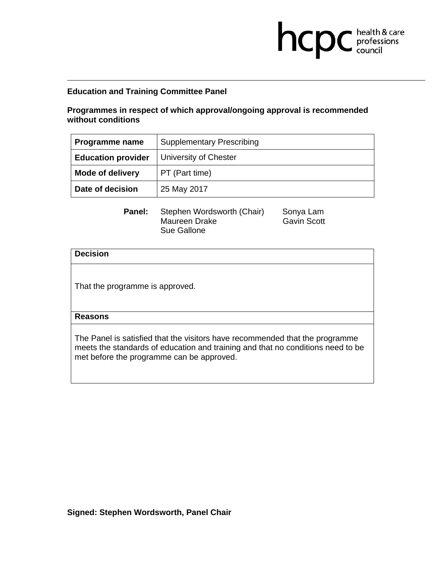# **Education and Training Committee Panel**

# **Programmes in respect of which approval/ongoing approval is recommended without conditions**

**health & care** 

| Programme name            | <b>Supplementary Prescribing</b> |
|---------------------------|----------------------------------|
| <b>Education provider</b> | <b>University of Chester</b>     |
| <b>Mode of delivery</b>   | PT (Part time)                   |
| Date of decision          | 25 May 2017                      |

Panel: Stephen Wordsworth (Chair) Sonya Lam Maureen Drake Gavin Scott Sue Gallone

## **Decision**

That the programme is approved.

## **Reasons**

The Panel is satisfied that the visitors have recommended that the programme meets the standards of education and training and that no conditions need to be met before the programme can be approved.

**Signed: Stephen Wordsworth, Panel Chair**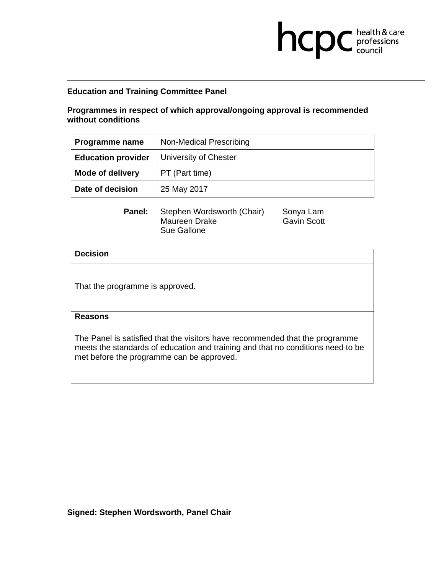# **Education and Training Committee Panel**

# **Programmes in respect of which approval/ongoing approval is recommended without conditions**

**health & care** 

| <b>Programme name</b>     | Non-Medical Prescribing |
|---------------------------|-------------------------|
| <b>Education provider</b> | University of Chester   |
| <b>Mode of delivery</b>   | PT (Part time)          |
| Date of decision          | 25 May 2017             |

Panel: Stephen Wordsworth (Chair) Sonya Lam Maureen Drake Gavin Scott Sue Gallone

#### **Decision**

That the programme is approved.

## **Reasons**

The Panel is satisfied that the visitors have recommended that the programme meets the standards of education and training and that no conditions need to be met before the programme can be approved.

**Signed: Stephen Wordsworth, Panel Chair**